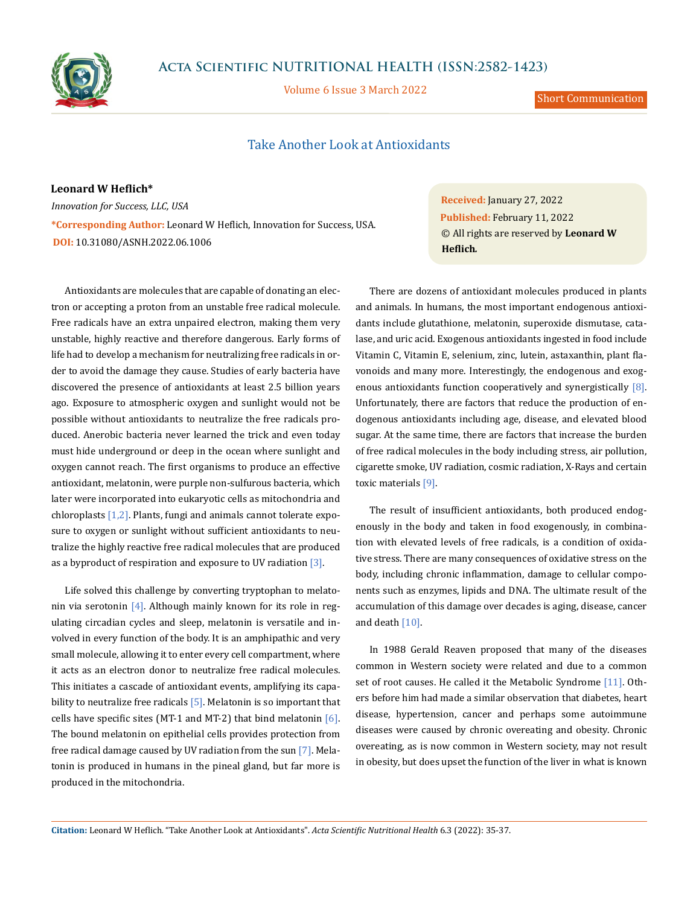

## **Acta Scientific NUTRITIONAL HEALTH (ISSN:2582-1423)**

Volume 6 Issue 3 March 2022

Short Communication

## Take Another Look at Antioxidants

**Leonard W Heflich\*** *Innovation for Success, LLC, USA* **\*Corresponding Author:** Leonard W Heflich, Innovation for Success, USA. **DOI:** [10.31080/ASNH.2022.06.1006](https://actascientific.com/ASNH/pdf/ASNH-06-1006.pdf)

Antioxidants are molecules that are capable of donating an electron or accepting a proton from an unstable free radical molecule. Free radicals have an extra unpaired electron, making them very unstable, highly reactive and therefore dangerous. Early forms of life had to develop a mechanism for neutralizing free radicals in order to avoid the damage they cause. Studies of early bacteria have discovered the presence of antioxidants at least 2.5 billion years ago. Exposure to atmospheric oxygen and sunlight would not be possible without antioxidants to neutralize the free radicals produced. Anerobic bacteria never learned the trick and even today must hide underground or deep in the ocean where sunlight and oxygen cannot reach. The first organisms to produce an effective antioxidant, melatonin, were purple non-sulfurous bacteria, which later were incorporated into eukaryotic cells as mitochondria and chloroplasts [1,2]. Plants, fungi and animals cannot tolerate exposure to oxygen or sunlight without sufficient antioxidants to neutralize the highly reactive free radical molecules that are produced as a byproduct of respiration and exposure to UV radiation  $[3]$ .

Life solved this challenge by converting tryptophan to melatonin via serotonin  $[4]$ . Although mainly known for its role in regulating circadian cycles and sleep, melatonin is versatile and involved in every function of the body. It is an amphipathic and very small molecule, allowing it to enter every cell compartment, where it acts as an electron donor to neutralize free radical molecules. This initiates a cascade of antioxidant events, amplifying its capability to neutralize free radicals [5]. Melatonin is so important that cells have specific sites (MT-1 and MT-2) that bind melatonin  $[6]$ . The bound melatonin on epithelial cells provides protection from free radical damage caused by UV radiation from the sun [7]. Melatonin is produced in humans in the pineal gland, but far more is produced in the mitochondria.

**Received:** January 27, 2022 **Published:** February 11, 2022 © All rights are reserved by **Leonard W Heflich***.* 

There are dozens of antioxidant molecules produced in plants and animals. In humans, the most important endogenous antioxidants include glutathione, melatonin, superoxide dismutase, catalase, and uric acid. Exogenous antioxidants ingested in food include Vitamin C, Vitamin E, selenium, zinc, lutein, astaxanthin, plant flavonoids and many more. Interestingly, the endogenous and exogenous antioxidants function cooperatively and synergistically [8]. Unfortunately, there are factors that reduce the production of endogenous antioxidants including age, disease, and elevated blood sugar. At the same time, there are factors that increase the burden of free radical molecules in the body including stress, air pollution, cigarette smoke, UV radiation, cosmic radiation, X-Rays and certain toxic materials [9].

The result of insufficient antioxidants, both produced endogenously in the body and taken in food exogenously, in combination with elevated levels of free radicals, is a condition of oxidative stress. There are many consequences of oxidative stress on the body, including chronic inflammation, damage to cellular components such as enzymes, lipids and DNA. The ultimate result of the accumulation of this damage over decades is aging, disease, cancer and death  $[10]$ .

In 1988 Gerald Reaven proposed that many of the diseases common in Western society were related and due to a common set of root causes. He called it the Metabolic Syndrome [11]. Others before him had made a similar observation that diabetes, heart disease, hypertension, cancer and perhaps some autoimmune diseases were caused by chronic overeating and obesity. Chronic overeating, as is now common in Western society, may not result in obesity, but does upset the function of the liver in what is known

**Citation:** Leonard W Heflich*.* "Take Another Look at Antioxidants". *Acta Scientific Nutritional Health* 6.3 (2022): 35-37.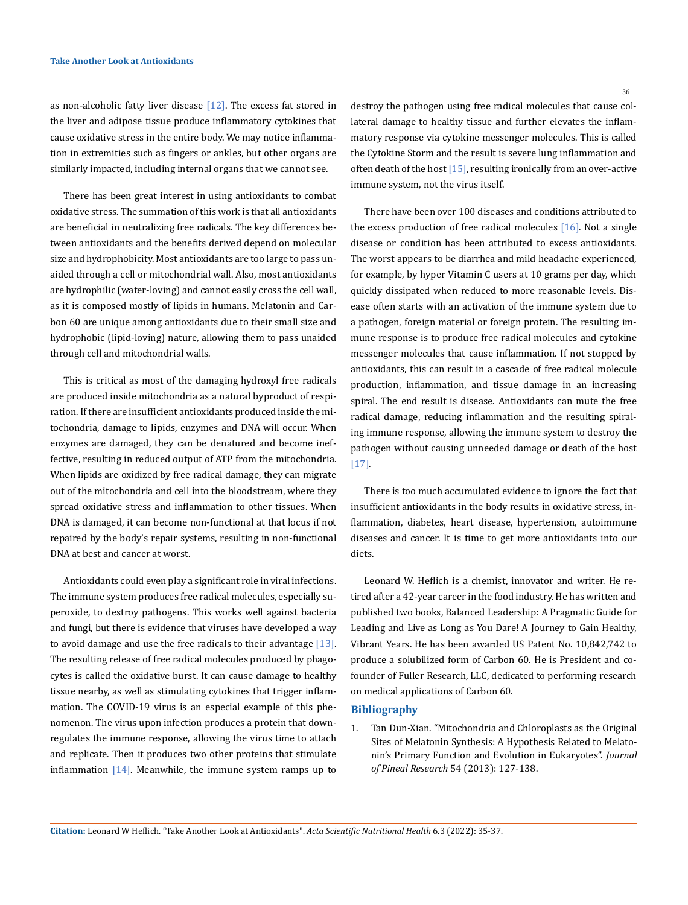as non-alcoholic fatty liver disease [12]. The excess fat stored in the liver and adipose tissue produce inflammatory cytokines that cause oxidative stress in the entire body. We may notice inflammation in extremities such as fingers or ankles, but other organs are similarly impacted, including internal organs that we cannot see.

There has been great interest in using antioxidants to combat oxidative stress. The summation of this work is that all antioxidants are beneficial in neutralizing free radicals. The key differences between antioxidants and the benefits derived depend on molecular size and hydrophobicity. Most antioxidants are too large to pass unaided through a cell or mitochondrial wall. Also, most antioxidants are hydrophilic (water-loving) and cannot easily cross the cell wall, as it is composed mostly of lipids in humans. Melatonin and Carbon 60 are unique among antioxidants due to their small size and hydrophobic (lipid-loving) nature, allowing them to pass unaided through cell and mitochondrial walls.

This is critical as most of the damaging hydroxyl free radicals are produced inside mitochondria as a natural byproduct of respiration. If there are insufficient antioxidants produced inside the mitochondria, damage to lipids, enzymes and DNA will occur. When enzymes are damaged, they can be denatured and become ineffective, resulting in reduced output of ATP from the mitochondria. When lipids are oxidized by free radical damage, they can migrate out of the mitochondria and cell into the bloodstream, where they spread oxidative stress and inflammation to other tissues. When DNA is damaged, it can become non-functional at that locus if not repaired by the body's repair systems, resulting in non-functional DNA at best and cancer at worst.

Antioxidants could even play a significant role in viral infections. The immune system produces free radical molecules, especially superoxide, to destroy pathogens. This works well against bacteria and fungi, but there is evidence that viruses have developed a way to avoid damage and use the free radicals to their advantage  $[13]$ . The resulting release of free radical molecules produced by phagocytes is called the oxidative burst. It can cause damage to healthy tissue nearby, as well as stimulating cytokines that trigger inflammation. The COVID-19 virus is an especial example of this phenomenon. The virus upon infection produces a protein that downregulates the immune response, allowing the virus time to attach and replicate. Then it produces two other proteins that stimulate inflammation  $[14]$ . Meanwhile, the immune system ramps up to 36

destroy the pathogen using free radical molecules that cause collateral damage to healthy tissue and further elevates the inflammatory response via cytokine messenger molecules. This is called the Cytokine Storm and the result is severe lung inflammation and often death of the host  $[15]$ , resulting ironically from an over-active immune system, not the virus itself.

There have been over 100 diseases and conditions attributed to the excess production of free radical molecules [16]. Not a single disease or condition has been attributed to excess antioxidants. The worst appears to be diarrhea and mild headache experienced, for example, by hyper Vitamin C users at 10 grams per day, which quickly dissipated when reduced to more reasonable levels. Disease often starts with an activation of the immune system due to a pathogen, foreign material or foreign protein. The resulting immune response is to produce free radical molecules and cytokine messenger molecules that cause inflammation. If not stopped by antioxidants, this can result in a cascade of free radical molecule production, inflammation, and tissue damage in an increasing spiral. The end result is disease. Antioxidants can mute the free radical damage, reducing inflammation and the resulting spiraling immune response, allowing the immune system to destroy the pathogen without causing unneeded damage or death of the host [17].

There is too much accumulated evidence to ignore the fact that insufficient antioxidants in the body results in oxidative stress, inflammation, diabetes, heart disease, hypertension, autoimmune diseases and cancer. It is time to get more antioxidants into our diets.

Leonard W. Heflich is a chemist, innovator and writer. He retired after a 42-year career in the food industry. He has written and published two books, Balanced Leadership: A Pragmatic Guide for Leading and Live as Long as You Dare! A Journey to Gain Healthy, Vibrant Years. He has been awarded US Patent No. 10,842,742 to produce a solubilized form of Carbon 60. He is President and cofounder of Fuller Research, LLC, dedicated to performing research on medical applications of Carbon 60.

## **Bibliography**

1. [Tan Dun-Xian. "Mitochondria and Chloroplasts as the Original](https://onlinelibrary.wiley.com/doi/10.1111/jpi.12026)  [Sites of Melatonin Synthesis: A Hypothesis Related to Melato](https://onlinelibrary.wiley.com/doi/10.1111/jpi.12026)[nin's Primary Function and Evolution in Eukaryotes".](https://onlinelibrary.wiley.com/doi/10.1111/jpi.12026) *Journal [of Pineal Research](https://onlinelibrary.wiley.com/doi/10.1111/jpi.12026)* 54 (2013): 127-138.